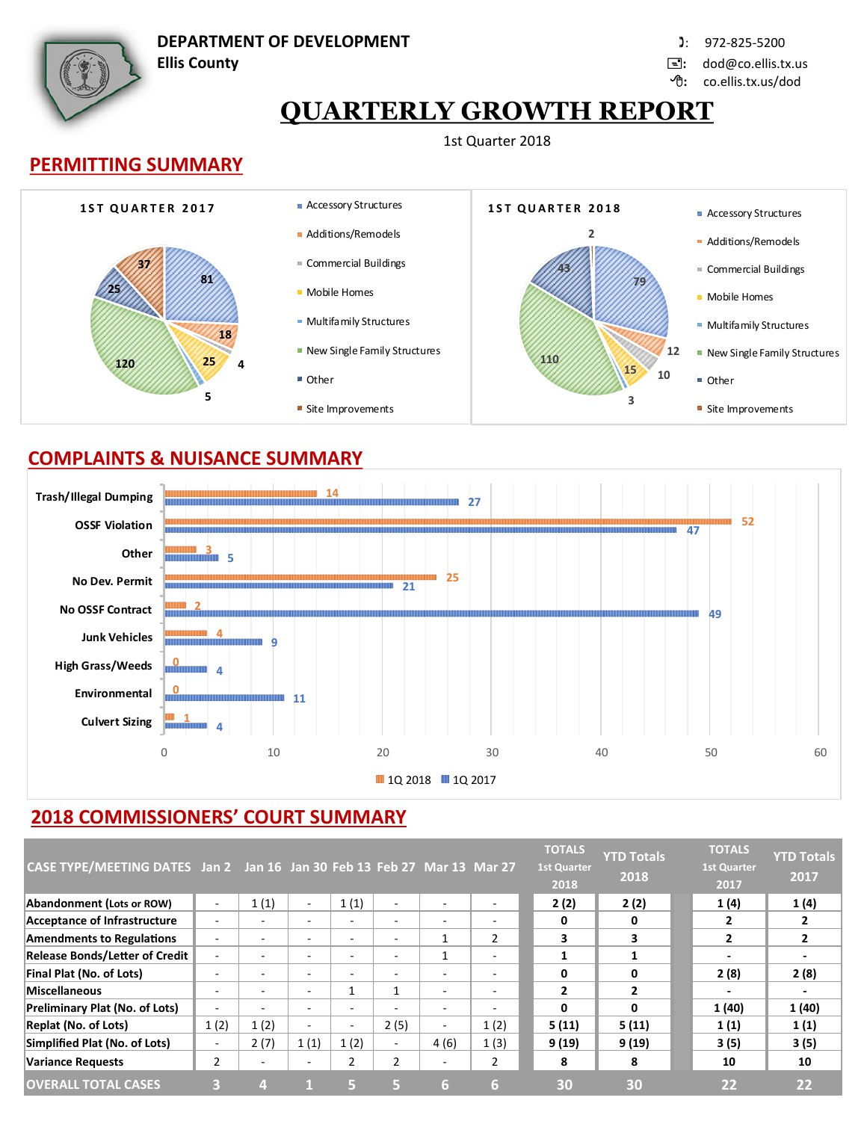

**DEPARTMENT OF DEVELOPMENT** : 972-825-5200

**Ellis County :** dod@co.ellis.tx.us

**:** co.ellis.tx.us/dod

# **QUARTERLY GROWTH REPORT**

#### 1st Quarter 2018





### **COMPLAINTS & NUISANCE SUMMARY**



# **2018 COMMISSIONERS' COURT SUMMARY**

| CASE TYPE/MEETING DATES Jan 2 Jan 16 Jan 30 Feb 13 Feb 27 Mar 13 Mar 27 |                          |      |                          |                          |                          |                          |                          | <b>TOTALS</b><br><b>1st Quarter</b><br>2018 | <b>YTD Totals</b><br>2018 | <b>TOTALS</b><br><b>1st Quarter</b><br>2017 | <b>YTD Totals</b><br>2017 |
|-------------------------------------------------------------------------|--------------------------|------|--------------------------|--------------------------|--------------------------|--------------------------|--------------------------|---------------------------------------------|---------------------------|---------------------------------------------|---------------------------|
| Abandonment (Lots or ROW)                                               | ۰                        | 1(1) | $\sim$                   | 1(1)                     | $\overline{\phantom{a}}$ | $\overline{\phantom{a}}$ | $\overline{\phantom{0}}$ | 2(2)                                        | 2(2)                      | 1(4)                                        | 1(4)                      |
| Acceptance of Infrastructure                                            |                          |      | $\blacksquare$           | $\overline{\phantom{0}}$ | $\overline{\phantom{a}}$ | ۰                        | $\overline{\phantom{0}}$ |                                             | 0                         | 2                                           |                           |
| <b>Amendments to Regulations</b>                                        |                          |      | $\overline{\phantom{0}}$ | $\overline{\phantom{0}}$ | -                        | $\mathbf{1}$             | $\overline{2}$           | 3                                           | 3                         | $\mathbf{z}$                                | 2                         |
| <b>Release Bonds/Letter of Credit</b>                                   |                          |      | $\overline{\phantom{a}}$ | ۰                        | $\overline{\phantom{a}}$ | 1                        | $\overline{\phantom{a}}$ |                                             |                           | $\overline{\phantom{a}}$                    |                           |
| Final Plat (No. of Lots)                                                |                          |      | $\overline{\phantom{0}}$ | $\overline{\phantom{0}}$ | $\overline{\phantom{a}}$ | $\overline{\phantom{0}}$ | $\overline{\phantom{0}}$ | 0                                           | $\mathbf{0}$              | 2(8)                                        | 2(8)                      |
| Miscellaneous                                                           | $\overline{\phantom{0}}$ |      | $\overline{\phantom{0}}$ |                          | $\mathbf{1}$             | $\sim$                   | $\overline{\phantom{0}}$ | $\overline{2}$                              | $\overline{2}$            | $\overline{\phantom{0}}$                    |                           |
| <b>Preliminary Plat (No. of Lots)</b>                                   |                          |      | $\overline{\phantom{0}}$ | -                        |                          | -                        |                          | O                                           | $\mathbf{0}$              | 1 (40)                                      | 1(40)                     |
| <b>Replat (No. of Lots)</b>                                             | 1(2)                     | 1(2) | $\overline{\phantom{a}}$ | ٠                        | 2(5)                     | $\sim$                   | 1(2)                     | 5(11)                                       | 5(11)                     | 1(1)                                        | 1(1)                      |
| Simplified Plat (No. of Lots)                                           | ٠                        | 2(7) | 1(1)                     | 1(2)                     | $\sim$                   | 4(6)                     | 1(3)                     | 9 (19)                                      | 9(19)                     | 3(5)                                        | 3 (5)                     |
| <b>Variance Requests</b>                                                | $\overline{2}$           | ۰    | $\overline{\phantom{0}}$ | 2                        | $\overline{2}$           | ۰                        | 2                        | 8                                           | 8                         | 10                                          | 10                        |
| <b>OVERALL TOTAL CASES</b>                                              |                          |      |                          | ы                        | G,                       | 6                        | 6                        | 30                                          | 30                        | 22                                          | 22                        |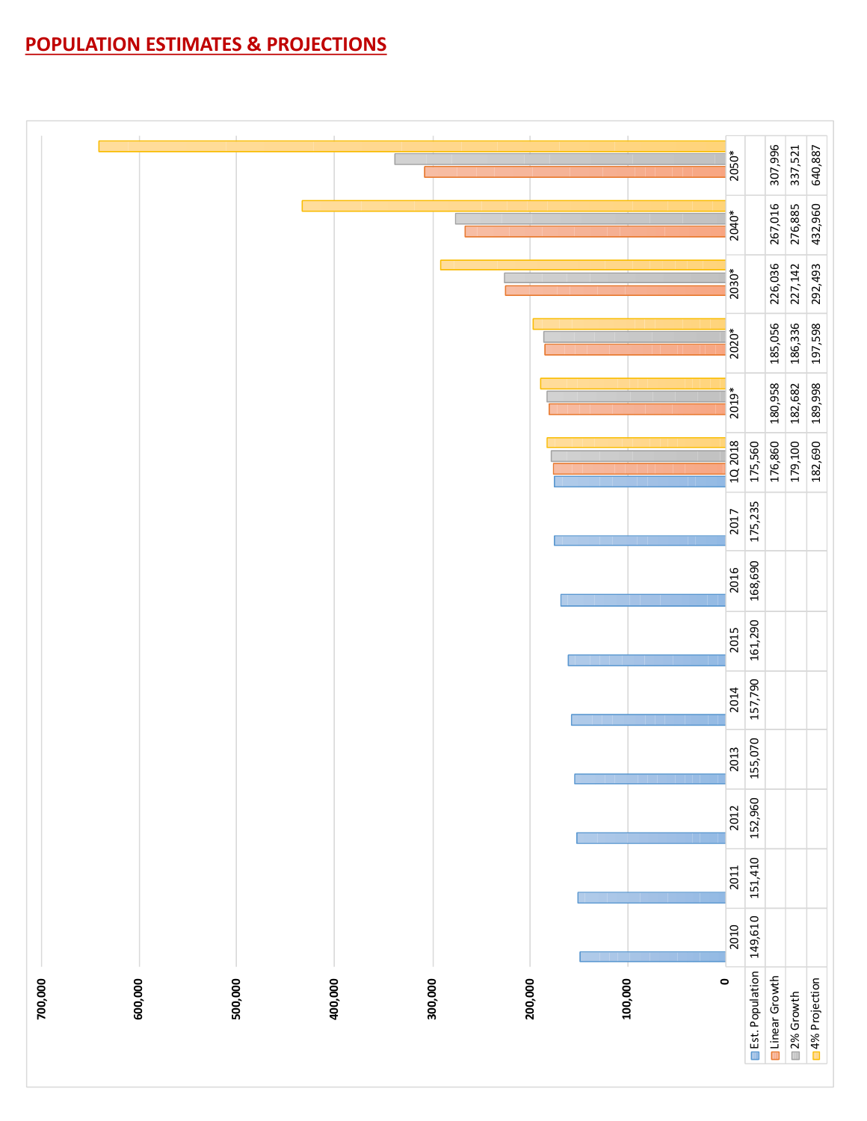# **POPULATION ESTIMATES & PROJECTIONS**